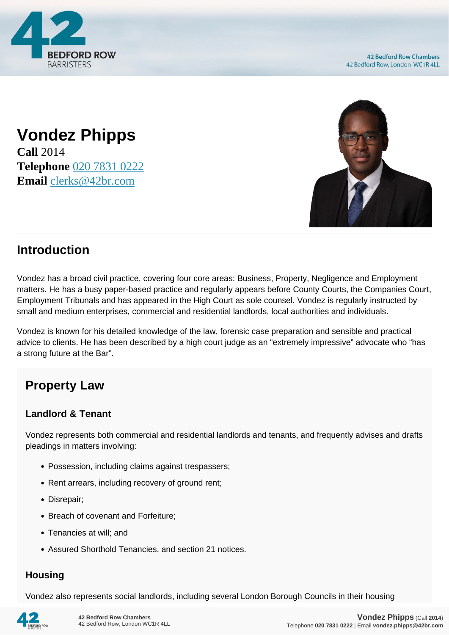

## **Vondez Phipps Call** 2014 **Telephone** [020 7831 0222](https://pdf.codeshore.co/_42br/tel:020 7831 0222) **Email** [clerks@42br.com](mailto:clerks@42br.com)



## **Introduction**

Vondez has a broad civil practice, covering four core areas: Business, Property, Negligence and Employment matters. He has a busy paper-based practice and regularly appears before County Courts, the Companies Court, Employment Tribunals and has appeared in the High Court as sole counsel. Vondez is regularly instructed by small and medium enterprises, commercial and residential landlords, local authorities and individuals.

Vondez is known for his detailed knowledge of the law, forensic case preparation and sensible and practical advice to clients. He has been described by a high court judge as an "extremely impressive" advocate who "has a strong future at the Bar".

# **Property Law**

#### **Landlord & Tenant**

Vondez represents both commercial and residential landlords and tenants, and frequently advises and drafts pleadings in matters involving:

- Possession, including claims against trespassers;
- Rent arrears, including recovery of ground rent;
- Disrepair:
- Breach of covenant and Forfeiture:
- Tenancies at will: and
- Assured Shorthold Tenancies, and section 21 notices.

#### **Housing**

Vondez also represents social landlords, including several London Borough Councils in their housing